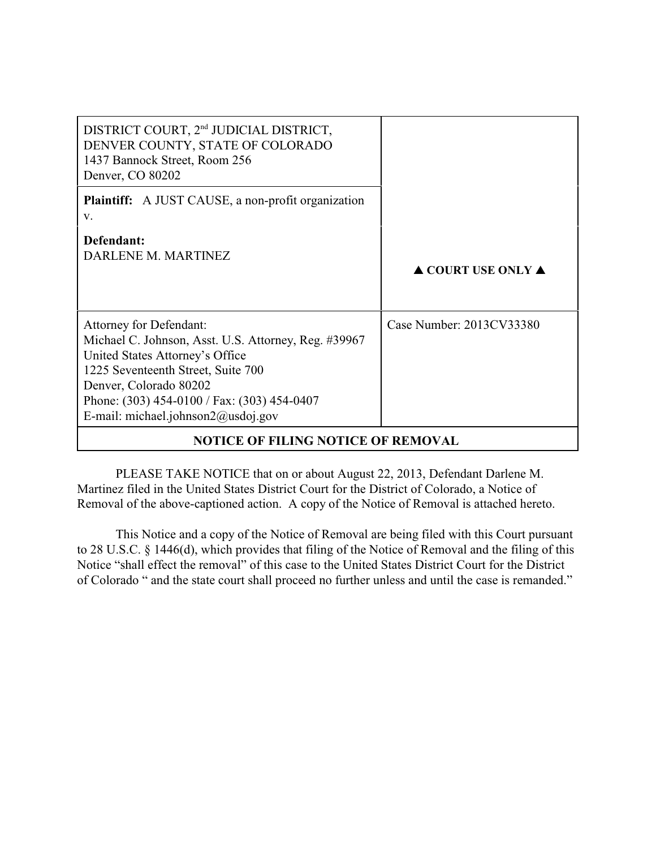| DISTRICT COURT, 2 <sup>nd</sup> JUDICIAL DISTRICT,<br>DENVER COUNTY, STATE OF COLORADO<br>1437 Bannock Street, Room 256<br>Denver, CO 80202                                                                                                                                        |                                        |
|------------------------------------------------------------------------------------------------------------------------------------------------------------------------------------------------------------------------------------------------------------------------------------|----------------------------------------|
| <b>Plaintiff:</b> A JUST CAUSE, a non-profit organization<br>V.                                                                                                                                                                                                                    |                                        |
| Defendant:<br>DARLENE M. MARTINEZ                                                                                                                                                                                                                                                  | $\triangle$ COURT USE ONLY $\triangle$ |
| <b>Attorney for Defendant:</b><br>Michael C. Johnson, Asst. U.S. Attorney, Reg. #39967<br>United States Attorney's Office<br>1225 Seventeenth Street, Suite 700<br>Denver, Colorado 80202<br>Phone: (303) 454-0100 / Fax: (303) 454-0407<br>E-mail: michael.johnson $2@$ usdoj.gov | Case Number: 2013CV33380               |
| <b>NOTICE OF FILING NOTICE OF REMOVAL</b>                                                                                                                                                                                                                                          |                                        |

## **NOTICE OF FILING NOTICE OF REMOVAL**

PLEASE TAKE NOTICE that on or about August 22, 2013, Defendant Darlene M. Martinez filed in the United States District Court for the District of Colorado, a Notice of Removal of the above-captioned action. A copy of the Notice of Removal is attached hereto.

This Notice and a copy of the Notice of Removal are being filed with this Court pursuant to 28 U.S.C. § 1446(d), which provides that filing of the Notice of Removal and the filing of this Notice "shall effect the removal" of this case to the United States District Court for the District of Colorado " and the state court shall proceed no further unless and until the case is remanded."